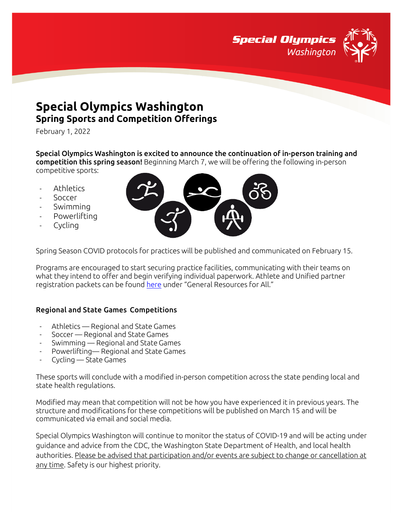

# **Special Olympics Washington Spring Sports and Competition Offerings**

February 1, 2022

Special Olympics Washington is excited to announce the continuation of in-person training and competition this spring season! Beginning March 7, we will be offering the following in-person competitive sports:

- **Athletics**
- Soccer
- Swimming
- Powerlifting
- Cycling



Spring Season COVID protocols for practices will be published and communicated on February 15.

Programs are encouraged to start securing practice facilities, communicating with their teams on what they intend to offer and begin verifying individual paperwork. Athlete and Unified partner registration packets can be found [here](https://specialolympicswashington.org/return-to-activities/) under "General Resources for All."

### Regional and State Games Competitions

- Athletics Regional and State Games
- Soccer Regional and State Games
- Swimming Regional and State Games
- Powerlifting— Regional and State Games
- Cycling State Games

These sports will conclude with a modified in-person competition across the state pending local and state health regulations.

Modified may mean that competition will not be how you have experienced it in previous years. The structure and modifications for these competitions will be published on March 15 and will be communicated via email and social media.

Special Olympics Washington will continue to monitor the status of COVID-19 and will be acting under guidance and advice from the CDC, the Washington State Department of Health, and local health authorities. Please be advised that participation and/or events are subject to change or cancellation at any time. Safety is our highest priority.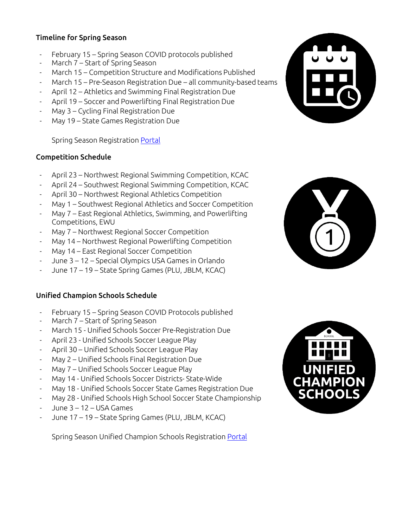## Timeline for Spring Season

- February 15 Spring Season COVID protocols published
- March 7 Start of Spring Season
- March 15 Competition Structure and Modifications Published
- March 15 Pre-Season Registration Due all community-based teams
- April 12 Athletics and Swimming Final Registration Due
- April 19 Soccer and Powerlifting Final Registration Due
- May 3 Cycling Final Registration Due
- May 19 State Games Registration Due

Spring Season Registration [Portal](https://app.smartsheet.com/b/form/62530f65e36f42a7ab7dd9f5e2e436ee)

## Competition Schedule

- April 23 Northwest Regional Swimming Competition, KCAC
- April 24 Southwest Regional Swimming Competition, KCAC
- April 30 Northwest Regional Athletics Competition
- May 1 Southwest Regional Athletics and Soccer Competition
- May 7 East Regional Athletics, Swimming, and Powerlifting Competitions, EWU
- May 7 Northwest Regional Soccer Competition
- May 14 Northwest Regional Powerlifting Competition
- May 14 East Regional Soccer Competition
- June 3 12 Special Olympics USA Games in Orlando
- June 17 19 State Spring Games (PLU, JBLM, KCAC)

# Unified Champion Schools Schedule

- February 15 Spring Season COVID Protocols published
- March 7 Start of Spring Season
- March 15 Unified Schools Soccer Pre-Registration Due
- April 23 Unified Schools Soccer League Play
- April 30 Unified Schools Soccer League Play
- May 2 Unified Schools Final Registration Due
- May 7 Unified Schools Soccer League Play
- May 14 Unified Schools Soccer Districts- State-Wide
- May 18 Unified Schools Soccer State Games Registration Due
- May 28 Unified Schools High School Soccer State Championship
- June  $3 12 -$  USA Games
- June 17 19 State Spring Games (PLU, JBLM, KCAC)

Spring Season Unified Champion Schools Registratio[n Portal](https://app.smartsheet.com/b/form/53c85fe348204176985e53c0e3a47367)